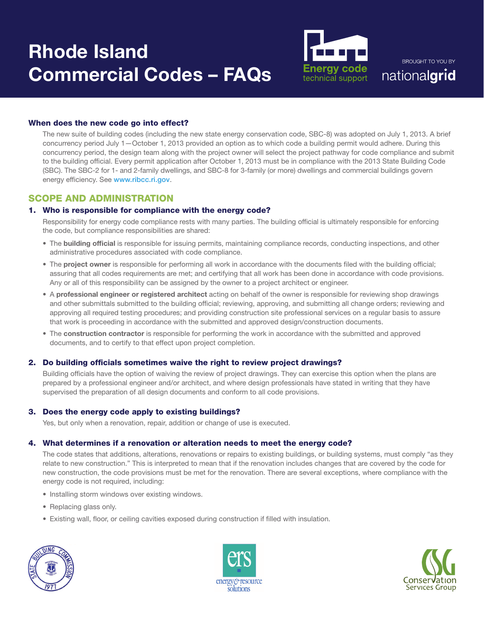# Rhode Island Commercial Codes – FAQs



**BROUGHT TO YOU BY** nationalgrid

# When does the new code go into effect?

The new suite of building codes (including the new state energy conservation code, SBC-8) was adopted on July 1, 2013. A brief concurrency period July 1—October 1, 2013 provided an option as to which code a building permit would adhere. During this concurrency period, the design team along with the project owner will select the project pathway for code compliance and submit to the building official. Every permit application after October 1, 2013 must be in compliance with the 2013 State Building Code (SBC). The SBC-2 for 1- and 2-family dwellings, and SBC-8 for 3-family (or more) dwellings and commercial buildings govern energy efficiency. See www.ribcc.ri.gov.

# SCOPE AND ADMINISTRATION

# 1. Who is responsible for compliance with the energy code?

Responsibility for energy code compliance rests with many parties. The building official is ultimately responsible for enforcing the code, but compliance responsibilities are shared:

- The building official is responsible for issuing permits, maintaining compliance records, conducting inspections, and other administrative procedures associated with code compliance.
- The project owner is responsible for performing all work in accordance with the documents filed with the building official; assuring that all codes requirements are met; and certifying that all work has been done in accordance with code provisions. Any or all of this responsibility can be assigned by the owner to a project architect or engineer.
- A professional engineer or registered architect acting on behalf of the owner is responsible for reviewing shop drawings and other submittals submitted to the building official; reviewing, approving, and submitting all change orders; reviewing and approving all required testing procedures; and providing construction site professional services on a regular basis to assure that work is proceeding in accordance with the submitted and approved design/construction documents.
- The construction contractor is responsible for performing the work in accordance with the submitted and approved documents, and to certify to that effect upon project completion.

# 2. Do building officials sometimes waive the right to review project drawings?

Building officials have the option of waiving the review of project drawings. They can exercise this option when the plans are prepared by a professional engineer and/or architect, and where design professionals have stated in writing that they have supervised the preparation of all design documents and conform to all code provisions.

# 3. Does the energy code apply to existing buildings?

Yes, but only when a renovation, repair, addition or change of use is executed.

# 4. What determines if a renovation or alteration needs to meet the energy code?

The code states that additions, alterations, renovations or repairs to existing buildings, or building systems, must comply "as they relate to new construction." This is interpreted to mean that if the renovation includes changes that are covered by the code for new construction, the code provisions must be met for the renovation. There are several exceptions, where compliance with the energy code is not required, including:

- Installing storm windows over existing windows.
- Replacing glass only.
- Existing wall, floor, or ceiling cavities exposed during construction if filled with insulation.





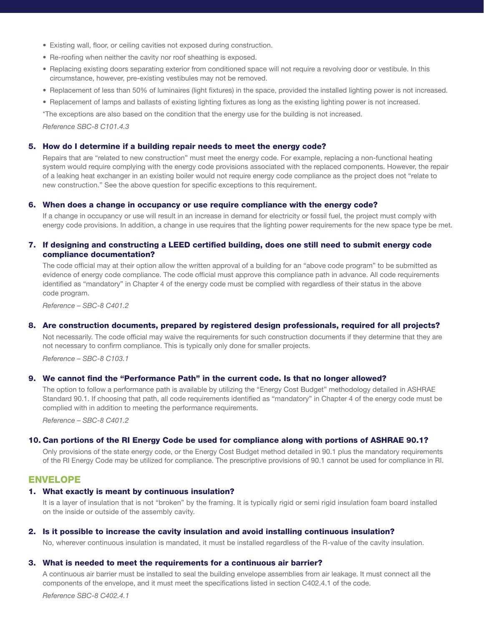- Existing wall, floor, or ceiling cavities not exposed during construction.
- Re-roofing when neither the cavity nor roof sheathing is exposed.
- Replacing existing doors separating exterior from conditioned space will not require a revolving door or vestibule. In this circumstance, however, pre-existing vestibules may not be removed.
- Replacement of less than 50% of luminaires (light fixtures) in the space, provided the installed lighting power is not increased.
- Replacement of lamps and ballasts of existing lighting fixtures as long as the existing lighting power is not increased.

\*The exceptions are also based on the condition that the energy use for the building is not increased.

*Reference SBC-8 C101.4.3*

#### 5. How do I determine if a building repair needs to meet the energy code?

Repairs that are "related to new construction" must meet the energy code. For example, replacing a non-functional heating system would require complying with the energy code provisions associated with the replaced components. However, the repair of a leaking heat exchanger in an existing boiler would not require energy code compliance as the project does not "relate to new construction." See the above question for specific exceptions to this requirement.

## 6. When does a change in occupancy or use require compliance with the energy code?

If a change in occupancy or use will result in an increase in demand for electricity or fossil fuel, the project must comply with energy code provisions. In addition, a change in use requires that the lighting power requirements for the new space type be met.

## 7. If designing and constructing a LEED certified building, does one still need to submit energy code compliance documentation?

The code official may at their option allow the written approval of a building for an "above code program" to be submitted as evidence of energy code compliance. The code official must approve this compliance path in advance. All code requirements identified as "mandatory" in Chapter 4 of the energy code must be complied with regardless of their status in the above code program.

*Reference – SBC-8 C401.2*

## 8. Are construction documents, prepared by registered design professionals, required for all projects?

Not necessarily. The code official may waive the requirements for such construction documents if they determine that they are not necessary to confirm compliance. This is typically only done for smaller projects.

*Reference – SBC-8 C103.1*

## 9. We cannot find the "Performance Path" in the current code. Is that no longer allowed?

The option to follow a performance path is available by utilizing the "Energy Cost Budget" methodology detailed in ASHRAE Standard 90.1. If choosing that path, all code requirements identified as "mandatory" in Chapter 4 of the energy code must be complied with in addition to meeting the performance requirements.

*Reference – SBC-8 C401.2*

#### 10. Can portions of the RI Energy Code be used for compliance along with portions of ASHRAE 90.1?

Only provisions of the state energy code, or the Energy Cost Budget method detailed in 90.1 plus the mandatory requirements of the RI Energy Code may be utilized for compliance. The prescriptive provisions of 90.1 cannot be used for compliance in RI.

# ENVELOPE

#### 1. What exactly is meant by continuous insulation?

It is a layer of insulation that is not "broken" by the framing. It is typically rigid or semi rigid insulation foam board installed on the inside or outside of the assembly cavity.

#### 2. Is it possible to increase the cavity insulation and avoid installing continuous insulation?

No, wherever continuous insulation is mandated, it must be installed regardless of the R-value of the cavity insulation.

#### 3. What is needed to meet the requirements for a continuous air barrier?

A continuous air barrier must be installed to seal the building envelope assemblies from air leakage. It must connect all the components of the envelope, and it must meet the specifications listed in section C402.4.1 of the code.

*Reference SBC-8 C402.4.1*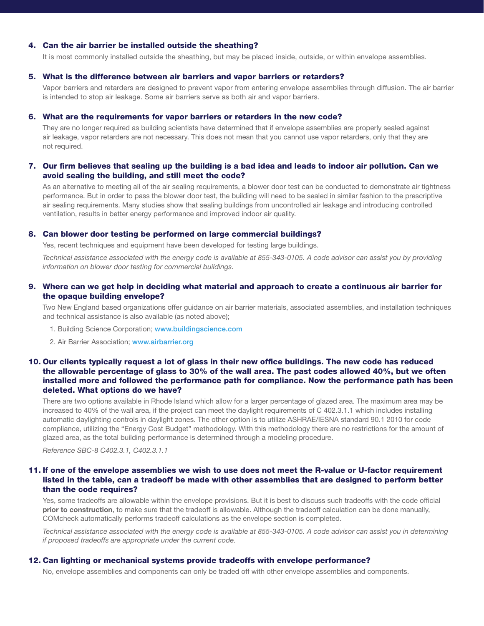#### 4. Can the air barrier be installed outside the sheathing?

It is most commonly installed outside the sheathing, but may be placed inside, outside, or within envelope assemblies.

#### 5. What is the difference between air barriers and vapor barriers or retarders?

Vapor barriers and retarders are designed to prevent vapor from entering envelope assemblies through diffusion. The air barrier is intended to stop air leakage. Some air barriers serve as both air and vapor barriers.

## 6. What are the requirements for vapor barriers or retarders in the new code?

They are no longer required as building scientists have determined that if envelope assemblies are properly sealed against air leakage, vapor retarders are not necessary. This does not mean that you cannot use vapor retarders, only that they are not required.

## 7. Our firm believes that sealing up the building is a bad idea and leads to indoor air pollution. Can we avoid sealing the building, and still meet the code?

As an alternative to meeting all of the air sealing requirements, a blower door test can be conducted to demonstrate air tightness performance. But in order to pass the blower door test, the building will need to be sealed in similar fashion to the prescriptive air sealing requirements. Many studies show that sealing buildings from uncontrolled air leakage and introducing controlled ventilation, results in better energy performance and improved indoor air quality.

#### 8. Can blower door testing be performed on large commercial buildings?

Yes, recent techniques and equipment have been developed for testing large buildings.

*Technical assistance associated with the energy code is available at 855-343-0105. A code advisor can assist you by providing information on blower door testing for commercial buildings.*

# 9. Where can we get help in deciding what material and approach to create a continuous air barrier for the opaque building envelope?

Two New England based organizations offer guidance on air barrier materials, associated assemblies, and installation techniques and technical assistance is also available (as noted above);

- 1. Building Science Corporation; www.buildingscience.com
- 2. Air Barrier Association; www.airbarrier.org

# 10. Our clients typically request a lot of glass in their new office buildings. The new code has reduced the allowable percentage of glass to 30% of the wall area. The past codes allowed 40%, but we often installed more and followed the performance path for compliance. Now the performance path has been deleted. What options do we have?

There are two options available in Rhode Island which allow for a larger percentage of glazed area. The maximum area may be increased to 40% of the wall area, if the project can meet the daylight requirements of C 402.3.1.1 which includes installing automatic daylighting controls in daylight zones. The other option is to utilize ASHRAE/IESNA standard 90.1 2010 for code compliance, utilizing the "Energy Cost Budget" methodology. With this methodology there are no restrictions for the amount of glazed area, as the total building performance is determined through a modeling procedure.

*Reference SBC-8 C402.3.1, C402.3.1.1*

# 11. If one of the envelope assemblies we wish to use does not meet the R-value or U-factor requirement listed in the table, can a tradeoff be made with other assemblies that are designed to perform better than the code requires?

Yes, some tradeoffs are allowable within the envelope provisions. But it is best to discuss such tradeoffs with the code official prior to construction, to make sure that the tradeoff is allowable. Although the tradeoff calculation can be done manually, COMcheck automatically performs tradeoff calculations as the envelope section is completed.

*Technical assistance associated with the energy code is available at 855-343-0105. A code advisor can assist you in determining if proposed tradeoffs are appropriate under the current code.* 

#### 12. Can lighting or mechanical systems provide tradeoffs with envelope performance?

No, envelope assemblies and components can only be traded off with other envelope assemblies and components.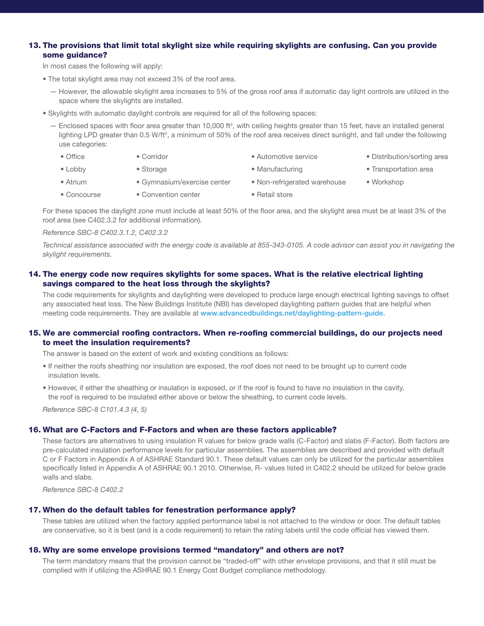# 13. The provisions that limit total skylight size while requiring skylights are confusing. Can you provide some guidance?

In most cases the following will apply:

- The total skylight area may not exceed 3% of the roof area.
	- However, the allowable skylight area increases to 5% of the gross roof area if automatic day light controls are utilized in the space where the skylights are installed.
- Skylights with automatic daylight controls are required for all of the following spaces:
	- $-$  Enclosed spaces with floor area greater than 10,000 ft<sup>2</sup>, with ceiling heights greater than 15 feet, have an installed general lighting LPD greater than 0.5 W/ft<sup>2</sup>, a minimum of 50% of the roof area receives direct sunlight, and fall under the following use categories:
		- Office • Corridor • Automotive service • Distribution/sorting area
		- Lobby • Storage
			- Gymnasium/exercise center
			- Convention center
- Manufacturing • Non-refrigerated warehouse
- 
- Transportation area
- Workshop
- Concourse
- Retail store

For these spaces the daylight zone must include at least 50% of the floor area, and the skylight area must be at least 3% of the roof area (see C402.3.2 for additional information).

#### *Reference SBC-8 C402.3.1.2, C402.3.2*

• Atrium

*Technical assistance associated with the energy code is available at 855-343-0105. A code advisor can assist you in navigating the skylight requirements.*

# 14. The energy code now requires skylights for some spaces. What is the relative electrical lighting savings compared to the heat loss through the skylights?

The code requirements for skylights and daylighting were developed to produce large enough electrical lighting savings to offset any associated heat loss. The New Buildings Institute (NBI) has developed daylighting pattern guides that are helpful when meeting code requirements. They are available at www.advancedbuildings.net/daylighting-pattern-guide.

#### 15. We are commercial roofing contractors. When re-roofing commercial buildings, do our projects need to meet the insulation requirements?

The answer is based on the extent of work and existing conditions as follows:

- If neither the roofs sheathing nor insulation are exposed, the roof does not need to be brought up to current code insulation levels.
- However, if either the sheathing or insulation is exposed, or if the roof is found to have no insulation in the cavity, the roof is required to be insulated either above or below the sheathing, to current code levels.

*Reference SBC-8 C101.4.3 (4, 5)*

## 16. What are C-Factors and F-Factors and when are these factors applicable?

These factors are alternatives to using insulation R values for below grade walls (C-Factor) and slabs (F-Factor). Both factors are pre-calculated insulation performance levels for particular assemblies. The assemblies are described and provided with default C or F Factors in Appendix A of ASHRAE Standard 90.1. These default values can only be utilized for the particular assemblies specifically listed in Appendix A of ASHRAE 90.1 2010. Otherwise, R- values listed in C402.2 should be utilized for below grade walls and slabs.

*Reference SBC-8 C402.2*

#### 17. When do the default tables for fenestration performance apply?

These tables are utilized when the factory applied performance label is not attached to the window or door. The default tables are conservative, so it is best (and is a code requirement) to retain the rating labels until the code official has viewed them.

## 18. Why are some envelope provisions termed "mandatory" and others are not?

The term mandatory means that the provision cannot be "traded-off" with other envelope provisions, and that it still must be complied with if utilizing the ASHRAE 90.1 Energy Cost Budget compliance methodology.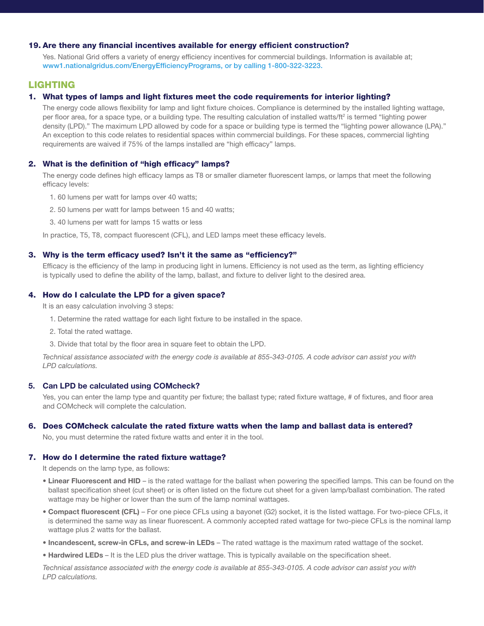## 19. Are there any financial incentives available for energy efficient construction?

Yes. National Grid offers a variety of energy efficiency incentives for commercial buildings. Information is available at; www1.nationalgridus.com/EnergyEfficiencyPrograms, or by calling 1-800-322-3223.

# LIGHTING

## 1. What types of lamps and light fixtures meet the code requirements for interior lighting?

The energy code allows flexibility for lamp and light fixture choices. Compliance is determined by the installed lighting wattage, per floor area, for a space type, or a building type. The resulting calculation of installed watts/ft<sup>2</sup> is termed "lighting power density (LPD)." The maximum LPD allowed by code for a space or building type is termed the "lighting power allowance (LPA)." An exception to this code relates to residential spaces within commercial buildings. For these spaces, commercial lighting requirements are waived if 75% of the lamps installed are "high efficacy" lamps.

#### 2. What is the definition of "high efficacy" lamps?

The energy code defines high efficacy lamps as T8 or smaller diameter fluorescent lamps, or lamps that meet the following efficacy levels:

- 1. 60 lumens per watt for lamps over 40 watts;
- 2. 50 lumens per watt for lamps between 15 and 40 watts;
- 3. 40 lumens per watt for lamps 15 watts or less

In practice, T5, T8, compact fluorescent (CFL), and LED lamps meet these efficacy levels.

#### 3. Why is the term efficacy used? Isn't it the same as "efficiency?"

Efficacy is the efficiency of the lamp in producing light in lumens. Efficiency is not used as the term, as lighting efficiency is typically used to define the ability of the lamp, ballast, and fixture to deliver light to the desired area.

### 4. How do I calculate the LPD for a given space?

It is an easy calculation involving 3 steps:

- 1. Determine the rated wattage for each light fixture to be installed in the space.
- 2. Total the rated wattage.
- 3. Divide that total by the floor area in square feet to obtain the LPD.

*Technical assistance associated with the energy code is available at 855-343-0105. A code advisor can assist you with LPD calculations.*

#### 5. Can LPD be calculated using COMcheck?

Yes, you can enter the lamp type and quantity per fixture; the ballast type; rated fixture wattage, # of fixtures, and floor area and COMcheck will complete the calculation.

#### 6. Does COMcheck calculate the rated fixture watts when the lamp and ballast data is entered?

No, you must determine the rated fixture watts and enter it in the tool.

## 7. How do I determine the rated fixture wattage?

It depends on the lamp type, as follows:

- Linear Fluorescent and HID is the rated wattage for the ballast when powering the specified lamps. This can be found on the ballast specification sheet (cut sheet) or is often listed on the fixture cut sheet for a given lamp/ballast combination. The rated wattage may be higher or lower than the sum of the lamp nominal wattages.
- Compact fluorescent (CFL) For one piece CFLs using a bayonet (G2) socket, it is the listed wattage. For two-piece CFLs, it is determined the same way as linear fluorescent. A commonly accepted rated wattage for two-piece CFLs is the nominal lamp wattage plus 2 watts for the ballast.
- Incandescent, screw-in CFLs, and screw-in LEDs The rated wattage is the maximum rated wattage of the socket.
- Hardwired LEDs It is the LED plus the driver wattage. This is typically available on the specification sheet.

*Technical assistance associated with the energy code is available at 855-343-0105. A code advisor can assist you with LPD calculations.*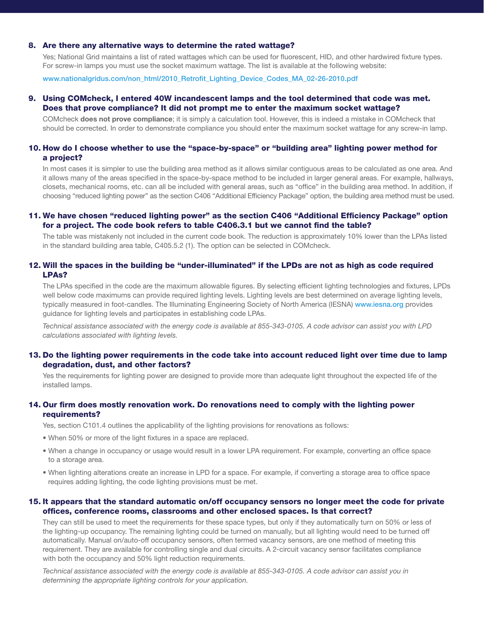#### 8. Are there any alternative ways to determine the rated wattage?

Yes; National Grid maintains a list of rated wattages which can be used for fluorescent, HID, and other hardwired fixture types. For screw-in lamps you must use the socket maximum wattage. The list is available at the following website:

www.nationalgridus.com/non\_html/2010\_Retrofit\_Lighting\_Device\_Codes\_MA\_02-26-2010.pdf

## 9. Using COMcheck, I entered 40W incandescent lamps and the tool determined that code was met. Does that prove compliance? It did not prompt me to enter the maximum socket wattage?

COMcheck **does not prove compliance**; it is simply a calculation tool. However, this is indeed a mistake in COMcheck that should be corrected. In order to demonstrate compliance you should enter the maximum socket wattage for any screw-in lamp.

# 10. How do I choose whether to use the "space-by-space" or "building area" lighting power method for a project?

In most cases it is simpler to use the building area method as it allows similar contiguous areas to be calculated as one area. And it allows many of the areas specified in the space-by-space method to be included in larger general areas. For example, hallways, closets, mechanical rooms, etc. can all be included with general areas, such as "office" in the building area method. In addition, if choosing "reduced lighting power" as the section C406 "Additional Efficiency Package" option, the building area method must be used.

## 11. We have chosen "reduced lighting power" as the section C406 "Additional Efficiency Package" option for a project. The code book refers to table C406.3.1 but we cannot find the table?

The table was mistakenly not included in the current code book. The reduction is approximately 10% lower than the LPAs listed in the standard building area table, C405.5.2 (1). The option can be selected in COMcheck.

# 12. Will the spaces in the building be "under-illuminated" if the LPDs are not as high as code required LPAs?

The LPAs specified in the code are the maximum allowable figures. By selecting efficient lighting technologies and fixtures, LPDs well below code maximums can provide required lighting levels. Lighting levels are best determined on average lighting levels, typically measured in foot-candles. The Illuminating Engineering Society of North America (IESNA) www.iesna.org provides guidance for lighting levels and participates in establishing code LPAs.

*Technical assistance associated with the energy code is available at 855-343-0105. A code advisor can assist you with LPD calculations associated with lighting levels.*

## 13. Do the lighting power requirements in the code take into account reduced light over time due to lamp degradation, dust, and other factors?

Yes the requirements for lighting power are designed to provide more than adequate light throughout the expected life of the installed lamps.

# 14. Our firm does mostly renovation work. Do renovations need to comply with the lighting power requirements?

Yes, section C101.4 outlines the applicability of the lighting provisions for renovations as follows:

- When 50% or more of the light fixtures in a space are replaced.
- When a change in occupancy or usage would result in a lower LPA requirement. For example, converting an office space to a storage area.
- When lighting alterations create an increase in LPD for a space. For example, if converting a storage area to office space requires adding lighting, the code lighting provisions must be met.

## 15. It appears that the standard automatic on/off occupancy sensors no longer meet the code for private offices, conference rooms, classrooms and other enclosed spaces. Is that correct?

They can still be used to meet the requirements for these space types, but only if they automatically turn on 50% or less of the lighting-up occupancy. The remaining lighting could be turned on manually, but all lighting would need to be turned off automatically. Manual on/auto-off occupancy sensors, often termed vacancy sensors, are one method of meeting this requirement. They are available for controlling single and dual circuits. A 2-circuit vacancy sensor facilitates compliance with both the occupancy and 50% light reduction requirements.

*Technical assistance associated with the energy code is available at 855-343-0105. A code advisor can assist you in determining the appropriate lighting controls for your application.*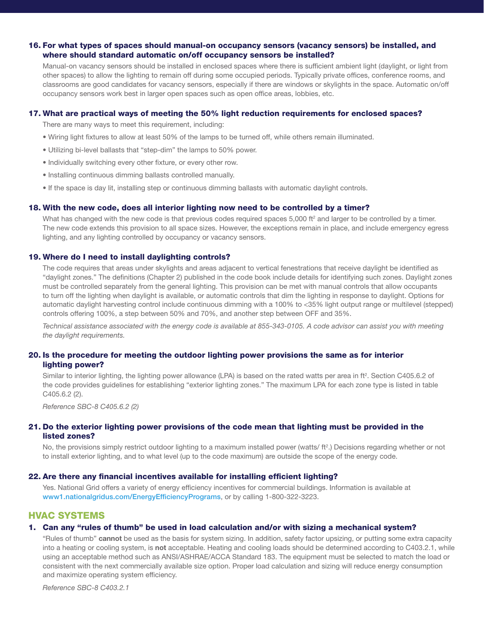## 16. For what types of spaces should manual-on occupancy sensors (vacancy sensors) be installed, and where should standard automatic on/off occupancy sensors be installed?

Manual-on vacancy sensors should be installed in enclosed spaces where there is sufficient ambient light (daylight, or light from other spaces) to allow the lighting to remain off during some occupied periods. Typically private offices, conference rooms, and classrooms are good candidates for vacancy sensors, especially if there are windows or skylights in the space. Automatic on/off occupancy sensors work best in larger open spaces such as open office areas, lobbies, etc.

# 17. What are practical ways of meeting the 50% light reduction requirements for enclosed spaces?

There are many ways to meet this requirement, including:

- Wiring light fixtures to allow at least 50% of the lamps to be turned off, while others remain illuminated.
- Utilizing bi-level ballasts that "step-dim" the lamps to 50% power.
- Individually switching every other fixture, or every other row.
- Installing continuous dimming ballasts controlled manually.
- If the space is day lit, installing step or continuous dimming ballasts with automatic daylight controls.

## 18. With the new code, does all interior lighting now need to be controlled by a timer?

What has changed with the new code is that previous codes required spaces 5,000 ft<sup>2</sup> and larger to be controlled by a timer. The new code extends this provision to all space sizes. However, the exceptions remain in place, and include emergency egress lighting, and any lighting controlled by occupancy or vacancy sensors.

## 19. Where do I need to install daylighting controls?

The code requires that areas under skylights and areas adjacent to vertical fenestrations that receive daylight be identified as "daylight zones." The definitions (Chapter 2) published in the code book include details for identifying such zones. Daylight zones must be controlled separately from the general lighting. This provision can be met with manual controls that allow occupants to turn off the lighting when daylight is available, or automatic controls that dim the lighting in response to daylight. Options for automatic daylight harvesting control include continuous dimming with a 100% to <35% light output range or multilevel (stepped) controls offering 100%, a step between 50% and 70%, and another step between OFF and 35%.

*Technical assistance associated with the energy code is available at 855-343-0105. A code advisor can assist you with meeting the daylight requirements.*

## 20. Is the procedure for meeting the outdoor lighting power provisions the same as for interior lighting power?

Similar to interior lighting, the lighting power allowance (LPA) is based on the rated watts per area in ft<sup>2</sup>. Section C405.6.2 of the code provides guidelines for establishing "exterior lighting zones." The maximum LPA for each zone type is listed in table C405.6.2 (2).

*Reference SBC-8 C405.6.2 (2)*

# 21. Do the exterior lighting power provisions of the code mean that lighting must be provided in the listed zones?

No, the provisions simply restrict outdoor lighting to a maximum installed power (watts/ ft<sup>2</sup>.) Decisions regarding whether or not to install exterior lighting, and to what level (up to the code maximum) are outside the scope of the energy code.

#### 22. Are there any financial incentives available for installing efficient lighting?

Yes. National Grid offers a variety of energy efficiency incentives for commercial buildings. Information is available at www1.nationalgridus.com/EnergyEfficiencyPrograms, or by calling 1-800-322-3223.

# HVAC SYSTEMS

## 1. Can any "rules of thumb" be used in load calculation and/or with sizing a mechanical system?

"Rules of thumb" cannot be used as the basis for system sizing. In addition, safety factor upsizing, or putting some extra capacity into a heating or cooling system, is not acceptable. Heating and cooling loads should be determined according to C403.2.1, while using an acceptable method such as ANSI/ASHRAE/ACCA Standard 183. The equipment must be selected to match the load or consistent with the next commercially available size option. Proper load calculation and sizing will reduce energy consumption and maximize operating system efficiency.

*Reference SBC-8 C403.2.1*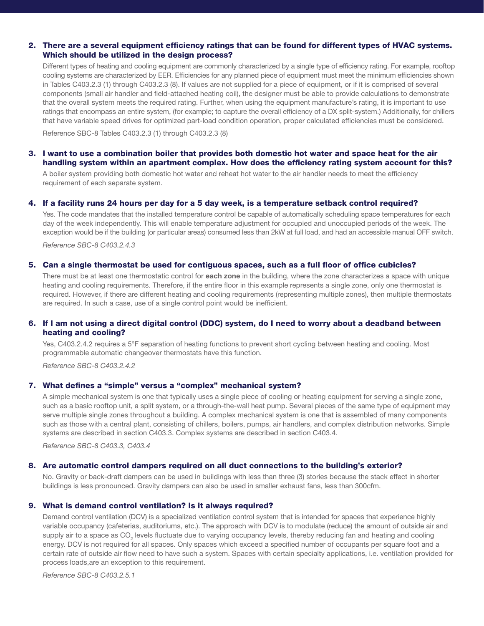# 2. There are a several equipment efficiency ratings that can be found for different types of HVAC systems. Which should be utilized in the design process?

Different types of heating and cooling equipment are commonly characterized by a single type of efficiency rating. For example, rooftop cooling systems are characterized by EER. Efficiencies for any planned piece of equipment must meet the minimum efficiencies shown in Tables C403.2.3 (1) through C403.2.3 (8). If values are not supplied for a piece of equipment, or if it is comprised of several components (small air handler and field-attached heating coil), the designer must be able to provide calculations to demonstrate that the overall system meets the required rating. Further, when using the equipment manufacture's rating, it is important to use ratings that encompass an entire system, (for example; to capture the overall efficiency of a DX split-system.) Additionally, for chillers that have variable speed drives for optimized part-load condition operation, proper calculated efficiencies must be considered.

Reference SBC-8 Tables C403.2.3 (1) through C403.2.3 (8)

# 3. I want to use a combination boiler that provides both domestic hot water and space heat for the air handling system within an apartment complex. How does the efficiency rating system account for this?

A boiler system providing both domestic hot water and reheat hot water to the air handler needs to meet the efficiency requirement of each separate system.

#### 4. If a facility runs 24 hours per day for a 5 day week, is a temperature setback control required?

Yes. The code mandates that the installed temperature control be capable of automatically scheduling space temperatures for each day of the week independently. This will enable temperature adjustment for occupied and unoccupied periods of the week. The exception would be if the building (or particular areas) consumed less than 2kW at full load, and had an accessible manual OFF switch.

*Reference SBC-8 C403.2.4.3*

## 5. Can a single thermostat be used for contiguous spaces, such as a full floor of office cubicles?

There must be at least one thermostatic control for each zone in the building, where the zone characterizes a space with unique heating and cooling requirements. Therefore, if the entire floor in this example represents a single zone, only one thermostat is required. However, if there are different heating and cooling requirements (representing multiple zones), then multiple thermostats are required. In such a case, use of a single control point would be inefficient.

## 6. If I am not using a direct digital control (DDC) system, do I need to worry about a deadband between heating and cooling?

Yes, C403.2.4.2 requires a 5°F separation of heating functions to prevent short cycling between heating and cooling. Most programmable automatic changeover thermostats have this function.

*Reference SBC-8 C403.2.4.2*

#### 7. What defines a "simple" versus a "complex" mechanical system?

A simple mechanical system is one that typically uses a single piece of cooling or heating equipment for serving a single zone, such as a basic rooftop unit, a split system, or a through-the-wall heat pump. Several pieces of the same type of equipment may serve multiple single zones throughout a building. A complex mechanical system is one that is assembled of many components such as those with a central plant, consisting of chillers, boilers, pumps, air handlers, and complex distribution networks. Simple systems are described in section C403.3. Complex systems are described in section C403.4.

*Reference SBC-8 C403.3, C403.4*

#### 8. Are automatic control dampers required on all duct connections to the building's exterior?

No. Gravity or back-draft dampers can be used in buildings with less than three (3) stories because the stack effect in shorter buildings is less pronounced. Gravity dampers can also be used in smaller exhaust fans, less than 300cfm.

#### 9. What is demand control ventilation? Is it always required?

Demand control ventilation (DCV) is a specialized ventilation control system that is intended for spaces that experience highly variable occupancy (cafeterias, auditoriums, etc.). The approach with DCV is to modulate (reduce) the amount of outside air and supply air to a space as CO<sub>2</sub> levels fluctuate due to varying occupancy levels, thereby reducing fan and heating and cooling energy. DCV is not required for all spaces. Only spaces which exceed a specified number of occupants per square foot and a certain rate of outside air flow need to have such a system. Spaces with certain specialty applications, i.e. ventilation provided for process loads,are an exception to this requirement.

*Reference SBC-8 C403.2.5.1*